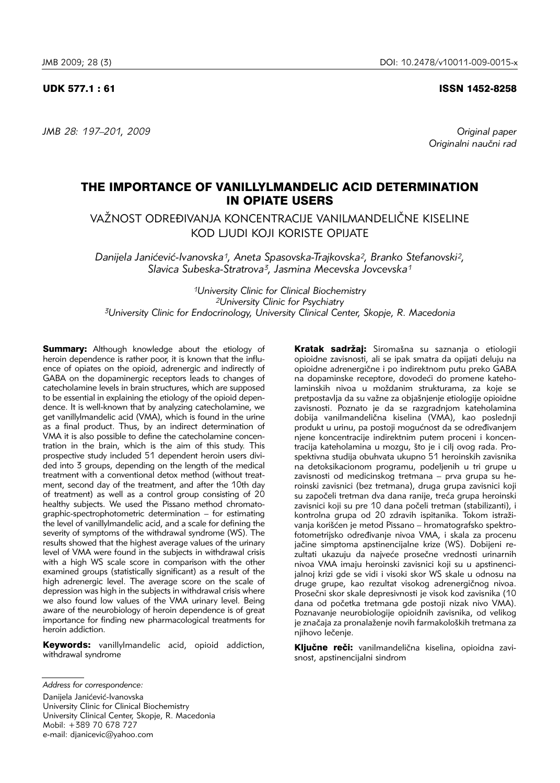#### UDK 577.1 : 61 ISSN 1452-8258

Originalni naučni rad

# THE IMPORTANCE OF VANILLYLMANDELIC ACID DETERMINATION IN OPIATE USERS

VAŽNOST ODREĐIVANJA KONCENTRACIJE VANILMANDELIČNE KISELINE KOD LJUDI KOJI KORISTE OPIJATE

*Danijela Jani}evi}-Ivanovska1, Aneta Spasovska-Trajkovska2, Branko Stefanovski2, Slavica Subeska-Stratrova3, Jasmina Mecevska Jovcevska1*

*1University Clinic for Clinical Biochemistry 2University Clinic for Psychiatry 3University Clinic for Endocrinology, University Clinical Center, Skopje, R. Macedonia*

**Summary:** Although knowledge about the etiology of heroin dependence is rather poor, it is known that the influence of opiates on the opioid, adrenergic and indirectly of GABA on the dopaminergic receptors leads to changes of catecholamine levels in brain structures, which are supposed to be essential in explaining the etiology of the opioid dependence. It is well-known that by analyzing catecholamine, we get vanillylmandelic acid (VMA), which is found in the urine as a final product. Thus, by an indirect determination of VMA it is also possible to define the catecholamine concentration in the brain, which is the aim of this study. This prospective study included 51 dependent heroin users divided into 3 groups, depending on the length of the medical treatment with a conventional detox method (without treat ment, second day of the treatment, and after the 10th day of treatment) as well as a control group consisting of 20 healthy subjects. We used the Pissano method chromatographic-spectrophotometric determination – for estimating the level of vanillylmandelic acid, and a scale for defining the severity of symptoms of the withdrawal syndrome (WS). The results showed that the highest average values of the urinary level of VMA were found in the subjects in withdrawal crisis with a high WS scale score in comparison with the other examined groups (statistically significant) as a result of the high adrenergic level. The average score on the scale of depression was high in the subjects in withdrawal crisis where we also found low values of the VMA urinary level. Being aware of the neurobiology of heroin dependence is of great importance for finding new pharmacological treatments for heroin addiction.

Keywords: vanillylmandelic acid, opioid addiction, withdrawal syndrome

Danijela Janićević-Ivanovska University Clinic for Clinical Biochemistry University Clinical Center, Skopje, R. Macedonia Mobil: +389 70 678 727 e-mail: dianicevic@yahoo.com

Kratak sadržaj: Siromašna su saznanja o etiologii opioidne zavisnosti, ali se ipak smatra da opijati deluju na opioidne adrenergične i po indirektnom putu preko GABA na dopaminske receptore, dovodeći do promene kateholaminskih nivoa u moždanim strukturama, za koje se pretpostavlja da su važne za objašnjenje etiologije opioidne .<br>zavisnosti. Poznato je da se razgradnjom kateholamina dobija vanilmandelična kiselina (VMA), kao poslednji produkt u urinu, pa postoji mogućnost da se određivanjem njene koncentracije indirektnim putem proceni i koncentracija kateholamina u mozgu, što je i cilj ovog rada. Prospektivna studija obuhvata ukupno 51 heroinskih zavisnika na detoksikacionom programu, podeljenih u tri grupe u zavisnosti od medicinskog tretmana – prva grupa su heroinski zavisnici (bez tretmana), druga grupa zavisnici koji su započeli tretman dva dana ranije, treća grupa heroinski zavisnici koji su pre 10 dana počeli tretman (stabilizanti), i kontrolna grupa od 20 zdravih ispitanika. Tokom istraživanja korišćen je metod Pissano – hromatografsko spektrofotometrijsko određivanje nivoa VMA, i skala za procenu jačine simptoma apstinencijalne krize (WS). Dobijeni rezultati ukazuju da najveće prosečne vrednosti urinarnih nivoa VMA imaju heroinski zavisnici koji su u apstinencijalnoj krizi gde se vidi i visoki skor WS skale u odnosu na druge grupe, kao rezultat visokog adrenergičnog nivoa. Prosečni skor skale depresivnosti je visok kod zavisnika (10 dana od početka tretmana gde postoji nizak nivo VMA). Poznavanje neurobiologije opioidnih zavisnika, od velikog je značaja za pronalaženje novih farmakoloških tretmana za njihovo lečenje.

Ključne reči: vanilmandelična kiselina, opioidna zavisnost, apstinencijalni sindrom

*Address for correspondence:*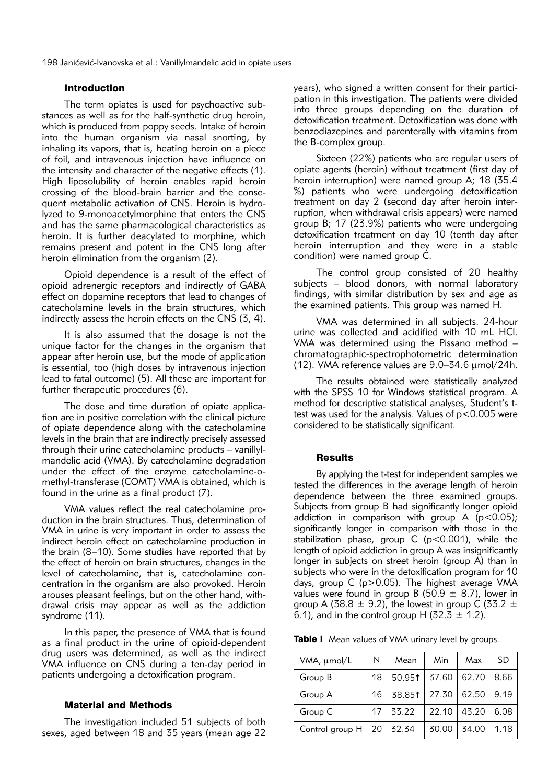### **Introduction**

The term opiates is used for psychoactive substances as well as for the half-synthetic drug heroin, which is produced from poppy seeds. Intake of heroin into the human organism via nasal snorting, by inhaling its vapors, that is, heating heroin on a piece of foil, and intravenous injection have influence on the intensity and character of the negative effects (1). High liposolubility of heroin enables rapid heroin crossing of the blood-brain barrier and the consequent metabolic activation of CNS. Heroin is hydrolyzed to 9-monoacetylmorphine that enters the CNS and has the same pharmacological characteristics as heroin. It is further deacylated to morphine, which remains present and potent in the CNS long after heroin elimination from the organism (2).

Opioid dependence is a result of the effect of opioid adrenergic receptors and indirectly of GABA effect on dopamine receptors that lead to changes of catecholamine levels in the brain structures, which indirectly assess the heroin effects on the CNS (3, 4).

It is also assumed that the dosage is not the unique factor for the changes in the organism that appear after heroin use, but the mode of application is essential, too (high doses by intravenous injection lead to fatal outcome) (5). All these are important for further therapeutic procedures (6).

The dose and time duration of opiate application are in positive correlation with the clinical picture of opiate dependence along with the catecholamine levels in the brain that are indirectly precisely assessed through their urine catecholamine products - vanillylmandelic acid (VMA). By catecholamine degradation under the effect of the enzyme catecholamine-omethyl-transferase (COMT) VMA is obtained, which is found in the urine as a final product (7).

VMA values reflect the real catecholamine production in the brain structures. Thus, determination of VMA in urine is very important in order to assess the indirect heroin effect on catecholamine production in the brain  $(8-10)$ . Some studies have reported that by the effect of heroin on brain structures, changes in the level of catecholamine, that is, catecholamine concentration in the organism are also provoked. Heroin arouses pleasant feelings, but on the other hand, withdrawal crisis may appear as well as the addiction syndrome (11).

In this paper, the presence of VMA that is found as a final product in the urine of opioid-dependent drug users was determined, as well as the indirect VMA influence on CNS during a ten-day period in patients undergoing a detoxification program.

### Material and Methods

The investigation included 51 subjects of both sexes, aged between 18 and 35 years (mean age 22 years), who signed a written consent for their participation in this investigation. The patients were divided into three groups depending on the duration of detoxification treatment. Detoxification was done with benzodiazepines and parenterally with vitamins from the B-complex group.

Sixteen (22%) patients who are regular users of opiate agents (heroin) without treatment (first day of heroin interruption) were named group A; 18 (35.4 %) patients who were undergoing detoxification treatment on day 2 (second day after heroin interruption, when withdrawal crisis appears) were named group B;  $17$  (23.9%) patients who were undergoing detoxification treatment on day 10 (tenth day after heroin interruption and they were in a stable condition) were named group C.

The control group consisted of 20 healthy subjects – blood donors, with normal laboratory findings, with similar distribution by sex and age as the examined patients. This group was named H.

VMA was determined in all subjects. 24-hour urine was collected and acidified with 10 mL HCl. VMA was determined using the Pissano method – chromatographic-spectrophotometric determination (12). VMA reference values are  $9.0 - 34.6 \mu$  mol/24h.

The results obtained were statistically analyzed with the SPSS 10 for Windows statistical program. A method for descriptive statistical analyses, Student's ttest was used for the analysis. Values of  $p < 0.005$  were considered to be statistically significant.

#### **Results**

By applying the t-test for independent samples we tested the differences in the average length of heroin dependence between the three examined groups. Subjects from group B had significantly longer opioid addiction in comparison with group  $A$  ( $p < 0.05$ ); significantly longer in comparison with those in the stabilization phase, group C (p<0.001), while the length of opioid addiction in group A was insignificantly longer in subjects on street heroin (group A) than in subjects who were in the detoxification program for 10 days, group C (p>0.05). The highest average VMA values were found in group B (50.9  $\pm$  8.7), lower in group A (38.8  $\pm$  9.2), the lowest in group C (33.2  $\pm$ 6.1), and in the control group H (32.3  $\pm$  1.2).

Table I Mean values of VMA urinary level by groups.

| VMA, µmol/L     | N  | Mean   | Min   | Max   | SD   |
|-----------------|----|--------|-------|-------|------|
| Group B         | 18 | 50.951 | 37.60 | 62.70 | 8.66 |
| Group A         | 16 | 38.851 | 27.30 | 62.50 | 9.19 |
| Group C         | 17 | 33.22  | 22.10 | 43.20 | 6.08 |
| Control group H | 20 | 32.34  | 30.00 | 34.00 | 1.18 |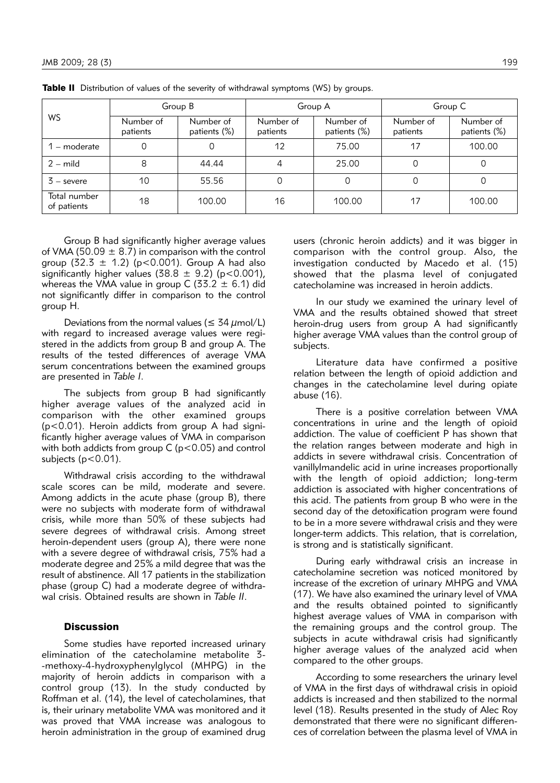| <b>WS</b>                   | Group B               |                           | Group A               |                           | Group C               |                           |
|-----------------------------|-----------------------|---------------------------|-----------------------|---------------------------|-----------------------|---------------------------|
|                             | Number of<br>patients | Number of<br>patients (%) | Number of<br>patients | Number of<br>patients (%) | Number of<br>patients | Number of<br>patients (%) |
| 1 – moderate                | 0                     |                           | 12                    | 75.00                     | 17                    | 100.00                    |
| $2 - \text{mild}$           | 8                     | 44.44                     | 4                     | 25.00                     |                       |                           |
| $3 -$ severe                | 10                    | 55.56                     |                       | 0                         |                       |                           |
| Total number<br>of patients | 18                    | 100.00                    | 16                    | 100.00                    | 17                    | 100.00                    |

**Table II** Distribution of values of the severity of withdrawal symptoms (WS) by groups.

Group B had significantly higher average values of VMA (50.09  $\pm$  8.7) in comparison with the control group (32.3  $\pm$  1.2) (p<0.001). Group A had also significantly higher values (38.8  $\pm$  9.2) (p < 0.001), whereas the VMA value in group C (33.2  $\pm$  6.1) did not significantly differ in comparison to the control group H.

Deviations from the normal values ( $\leq$  34  $\mu$ mol/L) with regard to increased average values were registered in the addicts from group B and group A. The results of the tested differences of average VMA serum concentrations between the examined groups are presented in *Table I*.

The subjects from group B had significantly higher average values of the analyzed acid in comparison with the other examined groups ( $p$ <0.01). Heroin addicts from group A had significantly higher average values of VMA in comparison with both addicts from group  $C$  ( $p < 0.05$ ) and control subjects (p<0.01).

Withdrawal crisis according to the withdrawal scale scores can be mild, moderate and severe. Among addicts in the acute phase (group B), there were no subjects with moderate form of withdrawal crisis, while more than 50% of these subjects had severe degrees of withdrawal crisis. Among street heroin-dependent users (group A), there were none with a severe degree of withdrawal crisis, 75% had a moderate degree and 25% a mild degree that was the result of abstinence. All 17 patients in the stabilization phase (group C) had a moderate degree of withdrawal crisis. Obtained results are shown in *Table II*.

## **Discussion**

Some studies have reported increased urinary elimination of the catecholamine metabolite 3- -methoxy-4-hydroxyphenylglycol (MHPG) in the majority of heroin addicts in comparison with a control group (13). In the study conducted by Roffman et al. (14), the level of catecholamines, that is, their urinary metabolite VMA was monitored and it was proved that VMA increase was analogous to heroin administration in the group of examined drug

users (chronic heroin addicts) and it was bigger in comparison with the control group. Also, the investigation conducted by Macedo et al. (15) showed that the plasma level of conjugated catecholamine was increased in heroin addicts.

In our study we examined the urinary level of VMA and the results obtained showed that street heroin-drug users from group A had significantly higher average VMA values than the control group of subjects.

Literature data have confirmed a positive relation between the length of opioid addiction and changes in the catecholamine level during opiate abuse (16).

There is a positive correlation between VMA concentrations in urine and the length of opioid addiction. The value of coefficient P has shown that the relation ranges between moderate and high in addicts in severe withdrawal crisis. Concentration of vanillylmandelic acid in urine increases proportionally with the length of opioid addiction; long-term addiction is associated with higher concentrations of this acid. The patients from group B who were in the second day of the detoxification program were found to be in a more severe withdrawal crisis and they were longer-term addicts. This relation, that is correlation, is strong and is statistically significant.

During early withdrawal crisis an increase in catecholamine secretion was noticed monitored by increase of the excretion of urinary MHPG and VMA (17). We have also examined the urinary level of VMA and the results obtained pointed to significantly highest average values of VMA in comparison with the remaining groups and the control group. The subjects in acute withdrawal crisis had significantly higher average values of the analyzed acid when compared to the other groups.

According to some researchers the urinary level of VMA in the first days of withdrawal crisis in opioid addicts is increased and then stabilized to the normal level (18). Results presented in the study of Alec Roy demonstrated that there were no significant differences of correlation between the plasma level of VMA in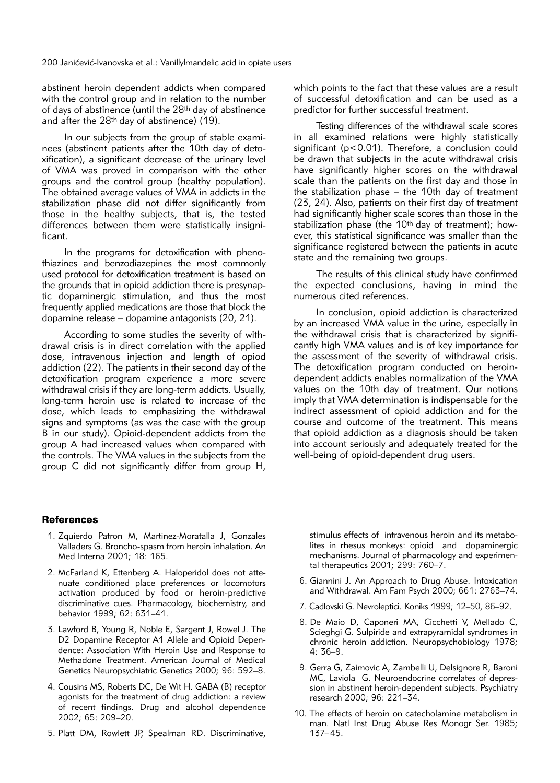abstinent heroin dependent addicts when compared with the control group and in relation to the number of days of abstinence (until the 28th day of abstinence and after the 28th day of abstinence) (19).

In our subjects from the group of stable examinees (abstinent patients after the 10th day of detoxification), a significant decrease of the urinary level of VMA was proved in comparison with the other groups and the control group (healthy population). The obtained average values of VMA in addicts in the stabilization phase did not differ significantly from those in the healthy subjects, that is, the tested differences between them were statistically insignificant.

In the programs for detoxification with phenothiazines and benzodiazepines the most commonly used protocol for detoxification treatment is based on the grounds that in opioid addiction there is presynaptic dopaminergic stimulation, and thus the most frequently applied medications are those that block the dopamine release – dopamine antagonists (20, 21).

According to some studies the severity of withdrawal crisis is in direct correlation with the applied dose, intravenous injection and length of opiod addiction (22). The patients in their second day of the detoxification program experience a more severe withdrawal crisis if they are long-term addicts. Usually, long-term heroin use is related to increase of the dose, which leads to emphasizing the withdrawal signs and symptoms (as was the case with the group B in our study). Opioid-dependent addicts from the group A had increased values when compared with the controls. The VMA values in the subjects from the group C did not significantly differ from group H,

which points to the fact that these values are a result of successful detoxification and can be used as a predictor for further successful treatment.

Testing differences of the withdrawal scale scores in all examined relations were highly statistically significant (p<0.01). Therefore, a conclusion could be drawn that subjects in the acute withdrawal crisis have significantly higher scores on the withdrawal scale than the patients on the first day and those in the stabilization phase – the 10th day of treatment (23, 24). Also, patients on their first day of treatment had significantly higher scale scores than those in the stabilization phase (the 10<sup>th</sup> day of treatment); however, this statistical significance was smaller than the significance registered between the patients in acute state and the remaining two groups.

The results of this clinical study have confirmed the expected conclusions, having in mind the numerous cited references.

In conclusion, opioid addiction is characterized by an increased VMA value in the urine, especially in the withdrawal crisis that is characterized by significantly high VMA values and is of key importance for the assessment of the severity of withdrawal crisis. The detoxification program conducted on heroindependent addicts enables normalization of the VMA values on the 10th day of treatment. Our notions imply that VMA determination is indispensable for the indirect assessment of opioid addiction and for the course and outcome of the treatment. This means that opioid addiction as a diagnosis should be taken into account seriously and adequately treated for the well-being of opioid-dependent drug users.

#### **References**

- 1. Zquierdo Patron M, Martinez-Moratalla J, Gonzales Valladers G. Broncho-spasm from heroin inhalation. An Med Interna 2001; 18: 165.
- 2. McFarland K, Ettenberg A. Haloperidol does not attenuate conditioned place preferences or locomotors activation produced by food or heroin-predictive discriminative cues. Pharmacology, biochemistry, and behavior 1999; 62: 631–41.
- 3. Lawford B, Young R, Noble E, Sargent J, Rowel J. The D2 Dopamine Receptor A1 Allele and Opioid Dependence: Association With Heroin Use and Response to Methadone Treatment. American Journal of Medical Genetics Neuropsychiatric Genetics 2000; 96: 592–8.
- 4. Cousins MS, Roberts DC, De Wit H. GABA (B) receptor agonists for the treatment of drug addiction: a review of recent findings. Drug and alcohol dependence 2002; 65: 209–20.
- 5. Platt DM, Rowlett JP, Spealman RD. Discriminative,

stimulus effects of intravenous heroin and its metabolites in rhesus monkeys: opioid and dopaminergic mechanisms. Journal of pharmacology and experimental therapeutics 2001; 299: 760–7.

- 6. Giannini J. An Approach to Drug Abuse. Intoxication and Withdrawal. Am Fam Psych 2000; 661: 2763–74.
- 7. Cadlovski G. Nevroleptici. Koniks 1999; 12–50, 86–92.
- 8. De Maio D, Caponeri MA, Cicchetti V, Mellado C, Scieghgi G. Sulpiride and extrapyramidal syndromes in chronic heroin addiction. Neuropsychobiology 1978; 4: 36–9.
- 9. Gerra G, Zaimovic A, Zambelli U, Delsignore R, Baroni MC, Laviola G. Neuroendocrine correlates of depression in abstinent heroin-dependent subjects. Psychiatry research 2000; 96: 221–34.
- 10. The effects of heroin on catecholamine metabolism in man. Natl Inst Drug Abuse Res Monogr Ser. 1985; 137–45.